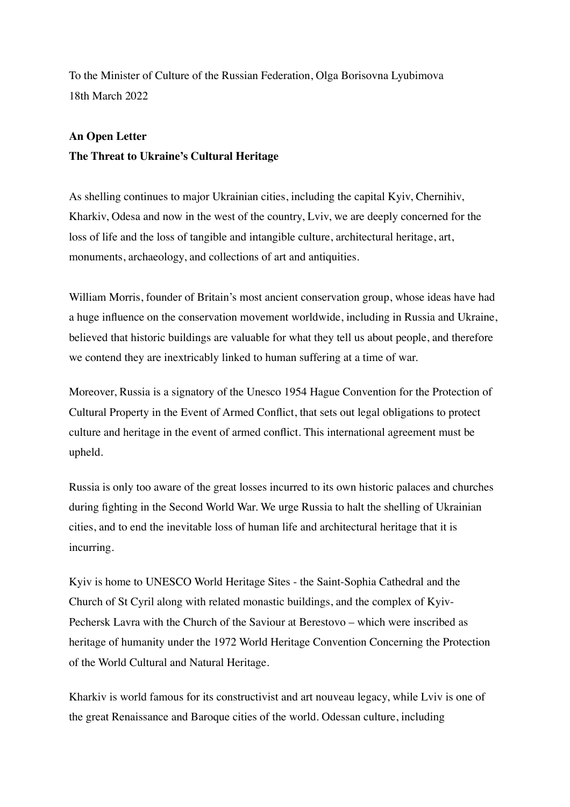To the Minister of Culture of the Russian Federation, Olga Borisovna Lyubimova 18th March 2022

## **An Open Letter**

## **The Threat to Ukraine's Cultural Heritage**

As shelling continues to major Ukrainian cities, including the capital Kyiv, Chernihiv, Kharkiv, Odesa and now in the west of the country, Lviv, we are deeply concerned for the loss of life and the loss of tangible and intangible culture, architectural heritage, art, monuments, archaeology, and collections of art and antiquities.

William Morris, founder of Britain's most ancient conservation group, whose ideas have had a huge influence on the conservation movement worldwide, including in Russia and Ukraine, believed that historic buildings are valuable for what they tell us about people, and therefore we contend they are inextricably linked to human suffering at a time of war.

Moreover, Russia is a signatory of the Unesco 1954 Hague Convention for the Protection of Cultural Property in the Event of Armed Conflict, that sets out legal obligations to protect culture and heritage in the event of armed conflict. This international agreement must be upheld.

Russia is only too aware of the great losses incurred to its own historic palaces and churches during fighting in the Second World War. We urge Russia to halt the shelling of Ukrainian cities, and to end the inevitable loss of human life and architectural heritage that it is incurring.

Kyiv is home to UNESCO World Heritage Sites - the Saint-Sophia Cathedral and the Church of St Cyril along with related monastic buildings, and the complex of Kyiv-Pechersk Lavra with the Church of the Saviour at Berestovo – which were inscribed as heritage of humanity under the 1972 World Heritage Convention Concerning the Protection of the World Cultural and Natural Heritage.

Kharkiv is world famous for its constructivist and art nouveau legacy, while Lviv is one of the great Renaissance and Baroque cities of the world. Odessan culture, including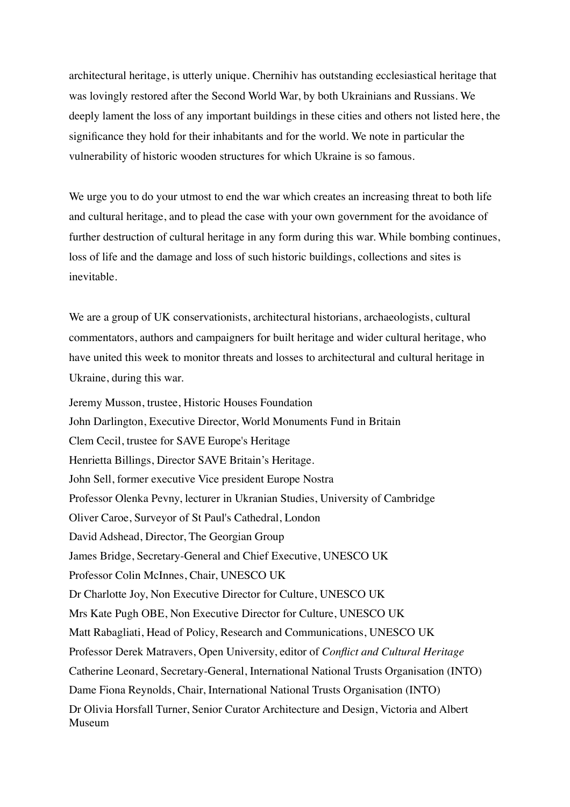architectural heritage, is utterly unique. Chernihiv has outstanding ecclesiastical heritage that was lovingly restored after the Second World War, by both Ukrainians and Russians. We deeply lament the loss of any important buildings in these cities and others not listed here, the significance they hold for their inhabitants and for the world. We note in particular the vulnerability of historic wooden structures for which Ukraine is so famous.

We urge you to do your utmost to end the war which creates an increasing threat to both life and cultural heritage, and to plead the case with your own government for the avoidance of further destruction of cultural heritage in any form during this war. While bombing continues, loss of life and the damage and loss of such historic buildings, collections and sites is inevitable.

We are a group of UK conservationists, architectural historians, archaeologists, cultural commentators, authors and campaigners for built heritage and wider cultural heritage, who have united this week to monitor threats and losses to architectural and cultural heritage in Ukraine, during this war.

Jeremy Musson, trustee, Historic Houses Foundation John Darlington, Executive Director, World Monuments Fund in Britain Clem Cecil, trustee for SAVE Europe's Heritage Henrietta Billings, Director SAVE Britain's Heritage. John Sell, former executive Vice president Europe Nostra Professor Olenka Pevny, lecturer in Ukranian Studies, University of Cambridge Oliver Caroe, Surveyor of St Paul's Cathedral, London David Adshead, Director, The Georgian Group James Bridge, Secretary-General and Chief Executive, UNESCO UK Professor Colin McInnes, Chair, UNESCO UK Dr Charlotte Joy, Non Executive Director for Culture, UNESCO UK Mrs Kate Pugh OBE, Non Executive Director for Culture, UNESCO UK Matt Rabagliati, Head of Policy, Research and Communications, UNESCO UK Professor Derek Matravers, Open University, editor of *Conflict and Cultural Heritage* Catherine Leonard, Secretary-General, International National Trusts Organisation (INTO) Dame Fiona Reynolds, Chair, International National Trusts Organisation (INTO) Dr Olivia Horsfall Turner, Senior Curator Architecture and Design, Victoria and Albert Museum